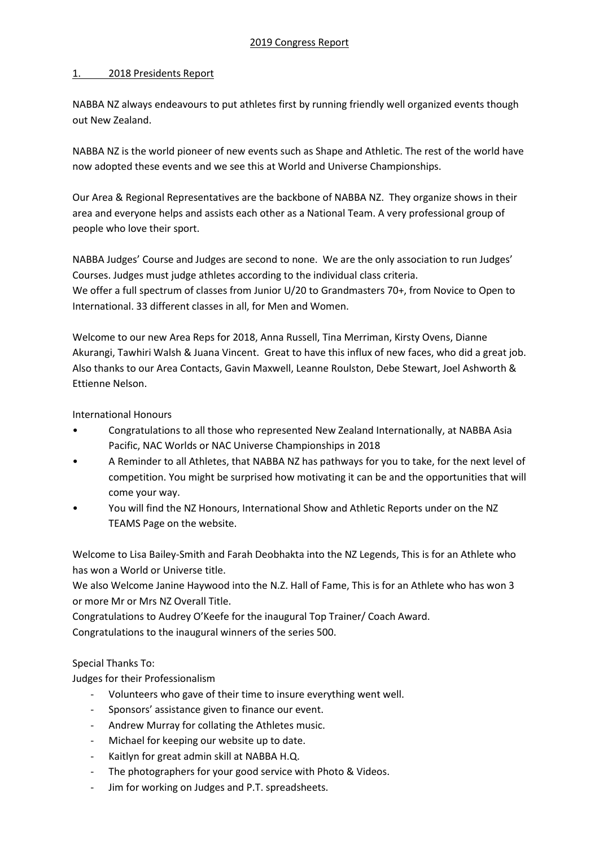## 1. 2018 Presidents Report

NABBA NZ always endeavours to put athletes first by running friendly well organized events though out New Zealand.

NABBA NZ is the world pioneer of new events such as Shape and Athletic. The rest of the world have now adopted these events and we see this at World and Universe Championships.

Our Area & Regional Representatives are the backbone of NABBA NZ. They organize shows in their area and everyone helps and assists each other as a National Team. A very professional group of people who love their sport.

NABBA Judges' Course and Judges are second to none. We are the only association to run Judges' Courses. Judges must judge athletes according to the individual class criteria.

We offer a full spectrum of classes from Junior U/20 to Grandmasters 70+, from Novice to Open to International. 33 different classes in all, for Men and Women.

Welcome to our new Area Reps for 2018, Anna Russell, Tina Merriman, Kirsty Ovens, Dianne Akurangi, Tawhiri Walsh & Juana Vincent. Great to have this influx of new faces, who did a great job. Also thanks to our Area Contacts, Gavin Maxwell, Leanne Roulston, Debe Stewart, Joel Ashworth & Ettienne Nelson.

International Honours

- Congratulations to all those who represented New Zealand Internationally, at NABBA Asia Pacific, NAC Worlds or NAC Universe Championships in 2018
- A Reminder to all Athletes, that NABBA NZ has pathways for you to take, for the next level of competition. You might be surprised how motivating it can be and the opportunities that will come your way.
- You will find the NZ Honours, International Show and Athletic Reports under on the NZ TEAMS Page on the website.

Welcome to Lisa Bailey-Smith and Farah Deobhakta into the NZ Legends, This is for an Athlete who has won a World or Universe title.

We also Welcome Janine Haywood into the N.Z. Hall of Fame, This is for an Athlete who has won 3 or more Mr or Mrs NZ Overall Title.

Congratulations to Audrey O'Keefe for the inaugural Top Trainer/ Coach Award. Congratulations to the inaugural winners of the series 500.

Special Thanks To:

Judges for their Professionalism

- Volunteers who gave of their time to insure everything went well.
- Sponsors' assistance given to finance our event.
- Andrew Murray for collating the Athletes music.
- Michael for keeping our website up to date.
- Kaitlyn for great admin skill at NABBA H.Q.
- The photographers for your good service with Photo & Videos.
- Jim for working on Judges and P.T. spreadsheets.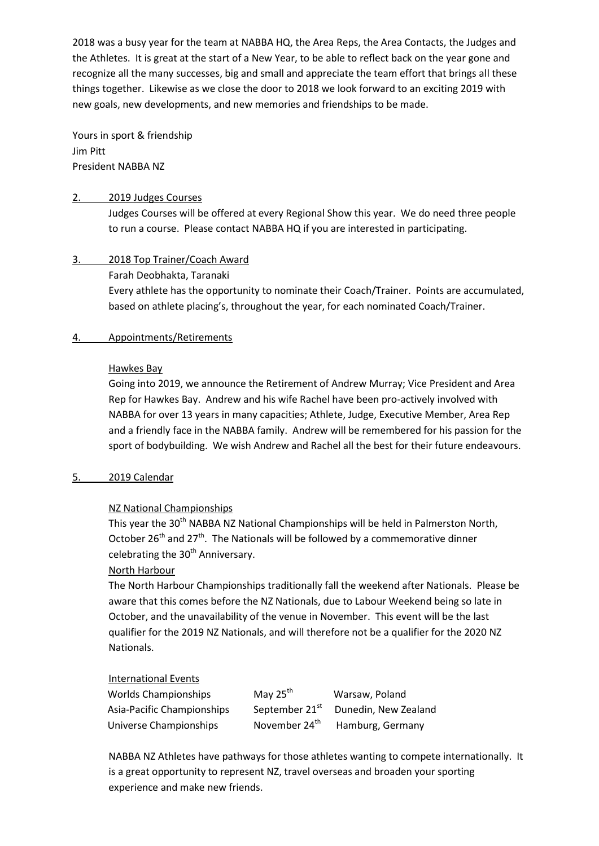2018 was a busy year for the team at NABBA HQ, the Area Reps, the Area Contacts, the Judges and the Athletes. It is great at the start of a New Year, to be able to reflect back on the year gone and recognize all the many successes, big and small and appreciate the team effort that brings all these things together. Likewise as we close the door to 2018 we look forward to an exciting 2019 with new goals, new developments, and new memories and friendships to be made.

Yours in sport & friendship Jim Pitt President NABBA NZ

### 2. 2019 Judges Courses

Judges Courses will be offered at every Regional Show this year. We do need three people to run a course. Please contact NABBA HQ if you are interested in participating.

# 3. 2018 Top Trainer/Coach Award

## Farah Deobhakta, Taranaki

Every athlete has the opportunity to nominate their Coach/Trainer. Points are accumulated, based on athlete placing's, throughout the year, for each nominated Coach/Trainer.

## 4. Appointments/Retirements

## Hawkes Bay

Going into 2019, we announce the Retirement of Andrew Murray; Vice President and Area Rep for Hawkes Bay. Andrew and his wife Rachel have been pro-actively involved with NABBA for over 13 years in many capacities; Athlete, Judge, Executive Member, Area Rep and a friendly face in the NABBA family. Andrew will be remembered for his passion for the sport of bodybuilding. We wish Andrew and Rachel all the best for their future endeavours.

# 5. 2019 Calendar

# NZ National Championships

This year the 30<sup>th</sup> NABBA NZ National Championships will be held in Palmerston North, October  $26<sup>th</sup>$  and  $27<sup>th</sup>$ . The Nationals will be followed by a commemorative dinner celebrating the  $30<sup>th</sup>$  Anniversary.

# North Harbour

The North Harbour Championships traditionally fall the weekend after Nationals. Please be aware that this comes before the NZ Nationals, due to Labour Weekend being so late in October, and the unavailability of the venue in November. This event will be the last qualifier for the 2019 NZ Nationals, and will therefore not be a qualifier for the 2020 NZ Nationals.

### International Events

| <b>Worlds Championships</b> | May $25^{\text{th}}$       | Warsaw, Poland       |
|-----------------------------|----------------------------|----------------------|
| Asia-Pacific Championships  | September 21 <sup>st</sup> | Dunedin, New Zealand |
| Universe Championships      | November 24 <sup>th</sup>  | Hamburg, Germany     |

NABBA NZ Athletes have pathways for those athletes wanting to compete internationally. It is a great opportunity to represent NZ, travel overseas and broaden your sporting experience and make new friends.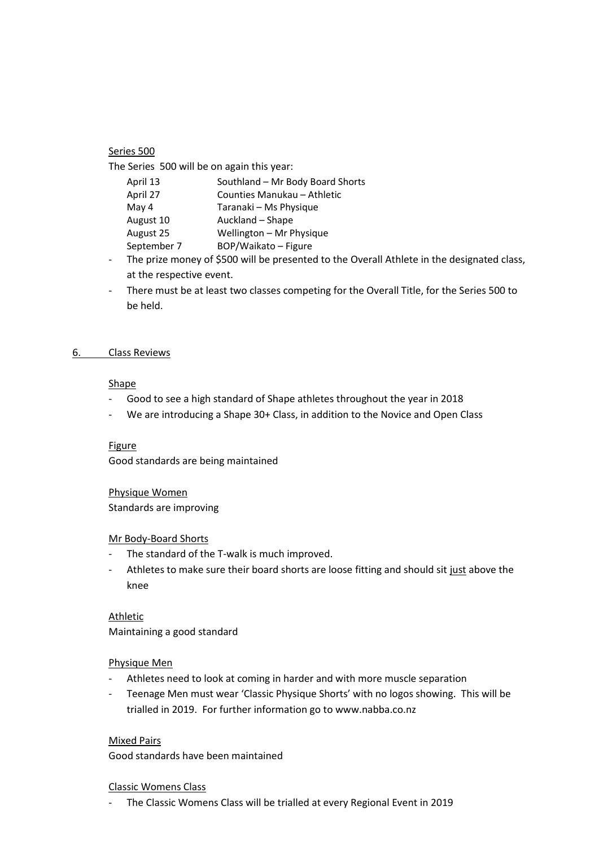### Series 500

The Series 500 will be on again this year:

| April 13    | Southland - Mr Body Board Shorts |
|-------------|----------------------------------|
| April 27    | Counties Manukau - Athletic      |
| May 4       | Taranaki – Ms Physique           |
| August 10   | Auckland - Shape                 |
| August 25   | Wellington - Mr Physique         |
| September 7 | BOP/Waikato - Figure             |
|             |                                  |

- The prize money of \$500 will be presented to the Overall Athlete in the designated class, at the respective event.
- There must be at least two classes competing for the Overall Title, for the Series 500 to be held.

### 6. Class Reviews

## Shape

- Good to see a high standard of Shape athletes throughout the year in 2018
- We are introducing a Shape 30+ Class, in addition to the Novice and Open Class

#### Figure

Good standards are being maintained

Physique Women Standards are improving

#### Mr Body-Board Shorts

- The standard of the T-walk is much improved.
- Athletes to make sure their board shorts are loose fitting and should sit just above the knee

Athletic Maintaining a good standard

#### Physique Men

- Athletes need to look at coming in harder and with more muscle separation
- Teenage Men must wear 'Classic Physique Shorts' with no logos showing. This will be trialled in 2019. For further information go to www.nabba.co.nz

Mixed Pairs

Good standards have been maintained

#### Classic Womens Class

- The Classic Womens Class will be trialled at every Regional Event in 2019